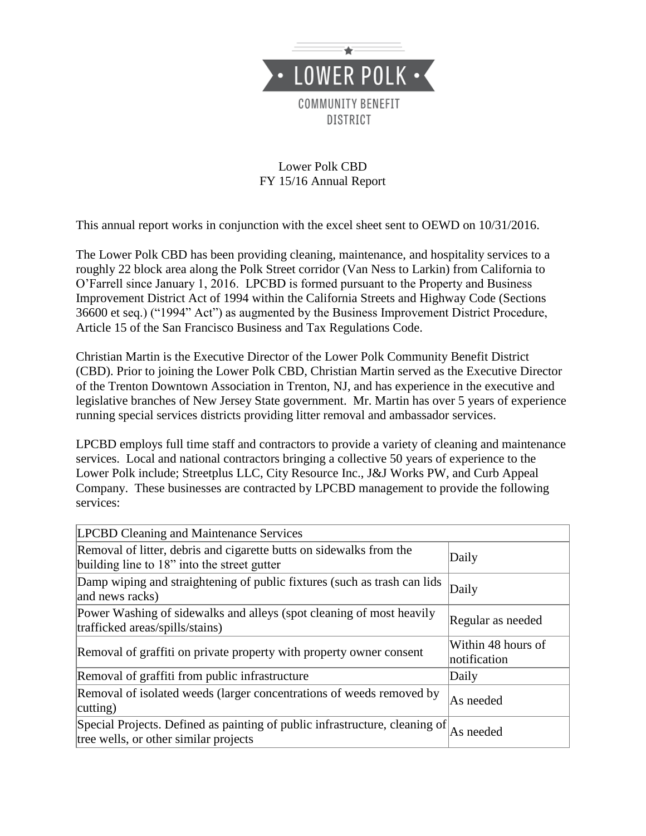

## Lower Polk CBD FY 15/16 Annual Report

This annual report works in conjunction with the excel sheet sent to OEWD on 10/31/2016.

The Lower Polk CBD has been providing cleaning, maintenance, and hospitality services to a roughly 22 block area along the Polk Street corridor (Van Ness to Larkin) from California to O'Farrell since January 1, 2016. LPCBD is formed pursuant to the Property and Business Improvement District Act of 1994 within the California Streets and Highway Code (Sections 36600 et seq.) ("1994" Act") as augmented by the Business Improvement District Procedure, Article 15 of the San Francisco Business and Tax Regulations Code.

Christian Martin is the Executive Director of the Lower Polk Community Benefit District (CBD). Prior to joining the Lower Polk CBD, Christian Martin served as the Executive Director of the Trenton Downtown Association in Trenton, NJ, and has experience in the executive and legislative branches of New Jersey State government. Mr. Martin has over 5 years of experience running special services districts providing litter removal and ambassador services.

LPCBD employs full time staff and contractors to provide a variety of cleaning and maintenance services. Local and national contractors bringing a collective 50 years of experience to the Lower Polk include; Streetplus LLC, City Resource Inc., J&J Works PW, and Curb Appeal Company. These businesses are contracted by LPCBD management to provide the following services:

| <b>LPCBD Cleaning and Maintenance Services</b>                                                                       |                                    |
|----------------------------------------------------------------------------------------------------------------------|------------------------------------|
| Removal of litter, debris and cigarette butts on sidewalks from the<br>building line to 18" into the street gutter   | Daily                              |
| Damp wiping and straightening of public fixtures (such as trash can lids<br>and news racks)                          | Daily                              |
| Power Washing of sidewalks and alleys (spot cleaning of most heavily<br>trafficked areas/spills/stains)              | Regular as needed                  |
| Removal of graffiti on private property with property owner consent                                                  | Within 48 hours of<br>notification |
| Removal of graffiti from public infrastructure                                                                       | Daily                              |
| Removal of isolated weeds (larger concentrations of weeds removed by<br>cutting)                                     | As needed                          |
| Special Projects. Defined as painting of public infrastructure, cleaning of<br>tree wells, or other similar projects | As needed                          |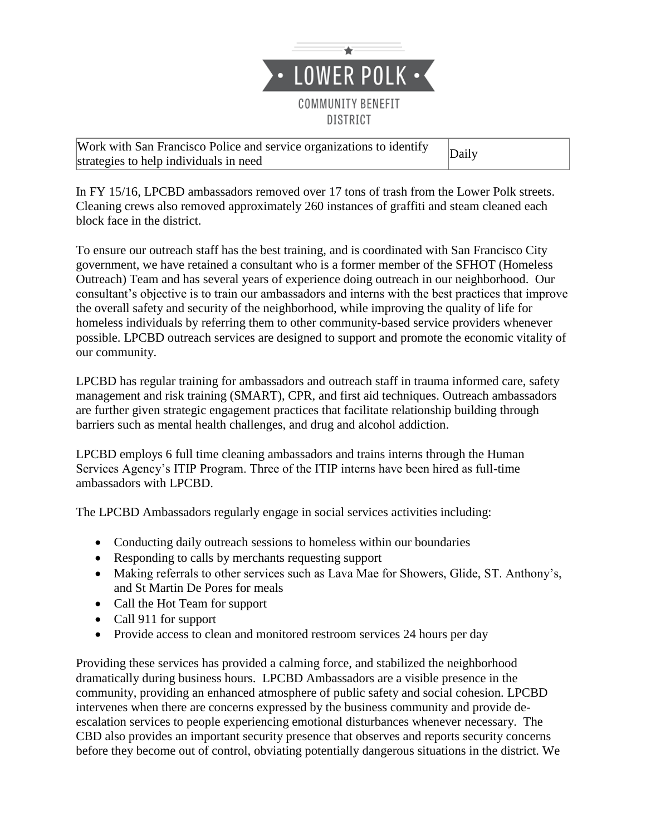

Work with San Francisco Police and service organizations to identify work with said 1 raneised 1 once and service organizations to identity Daily<br>strategies to help individuals in need

In FY 15/16, LPCBD ambassadors removed over 17 tons of trash from the Lower Polk streets. Cleaning crews also removed approximately 260 instances of graffiti and steam cleaned each block face in the district.

To ensure our outreach staff has the best training, and is coordinated with San Francisco City government, we have retained a consultant who is a former member of the SFHOT (Homeless Outreach) Team and has several years of experience doing outreach in our neighborhood. Our consultant's objective is to train our ambassadors and interns with the best practices that improve the overall safety and security of the neighborhood, while improving the quality of life for homeless individuals by referring them to other community-based service providers whenever possible. LPCBD outreach services are designed to support and promote the economic vitality of our community.

LPCBD has regular training for ambassadors and outreach staff in trauma informed care, safety management and risk training (SMART), CPR, and first aid techniques. Outreach ambassadors are further given strategic engagement practices that facilitate relationship building through barriers such as mental health challenges, and drug and alcohol addiction.

LPCBD employs 6 full time cleaning ambassadors and trains interns through the Human Services Agency's ITIP Program. Three of the ITIP interns have been hired as full-time ambassadors with LPCBD.

The LPCBD Ambassadors regularly engage in social services activities including:

- Conducting daily outreach sessions to homeless within our boundaries
- Responding to calls by merchants requesting support
- Making referrals to other services such as Lava Mae for Showers, Glide, ST. Anthony's, and St Martin De Pores for meals
- Call the Hot Team for support
- Call 911 for support
- Provide access to clean and monitored restroom services 24 hours per day

Providing these services has provided a calming force, and stabilized the neighborhood dramatically during business hours. LPCBD Ambassadors are a visible presence in the community, providing an enhanced atmosphere of public safety and social cohesion. LPCBD intervenes when there are concerns expressed by the business community and provide deescalation services to people experiencing emotional disturbances whenever necessary. The CBD also provides an important security presence that observes and reports security concerns before they become out of control, obviating potentially dangerous situations in the district. We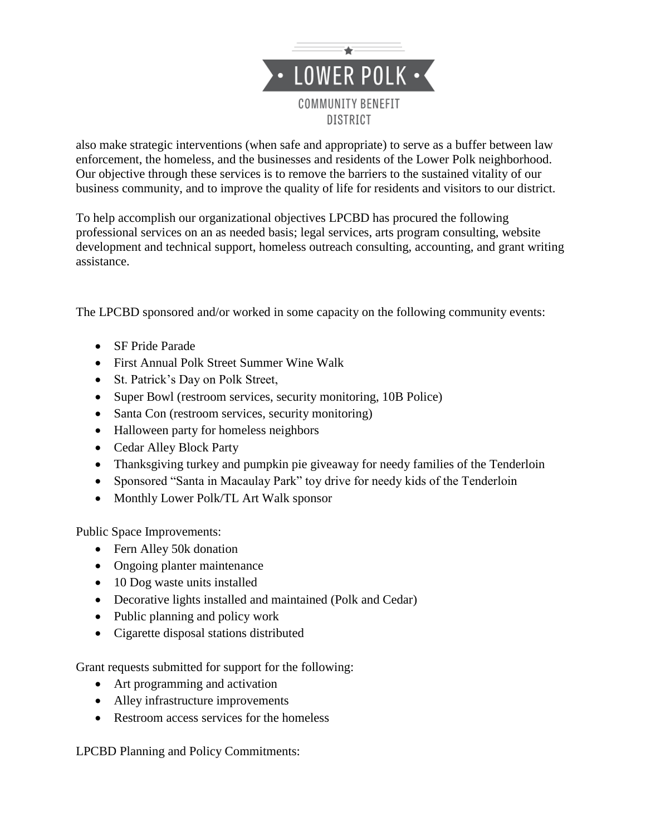

also make strategic interventions (when safe and appropriate) to serve as a buffer between law enforcement, the homeless, and the businesses and residents of the Lower Polk neighborhood. Our objective through these services is to remove the barriers to the sustained vitality of our business community, and to improve the quality of life for residents and visitors to our district.

To help accomplish our organizational objectives LPCBD has procured the following professional services on an as needed basis; legal services, arts program consulting, website development and technical support, homeless outreach consulting, accounting, and grant writing assistance.

The LPCBD sponsored and/or worked in some capacity on the following community events:

- SF Pride Parade
- First Annual Polk Street Summer Wine Walk
- St. Patrick's Day on Polk Street,
- Super Bowl (restroom services, security monitoring, 10B Police)
- Santa Con (restroom services, security monitoring)
- Halloween party for homeless neighbors
- Cedar Alley Block Party
- Thanksgiving turkey and pumpkin pie giveaway for needy families of the Tenderloin
- Sponsored "Santa in Macaulay Park" toy drive for needy kids of the Tenderloin
- Monthly Lower Polk/TL Art Walk sponsor

Public Space Improvements:

- Fern Alley 50k donation
- Ongoing planter maintenance
- 10 Dog waste units installed
- Decorative lights installed and maintained (Polk and Cedar)
- Public planning and policy work
- Cigarette disposal stations distributed

Grant requests submitted for support for the following:

- Art programming and activation
- Alley infrastructure improvements
- Restroom access services for the homeless

LPCBD Planning and Policy Commitments: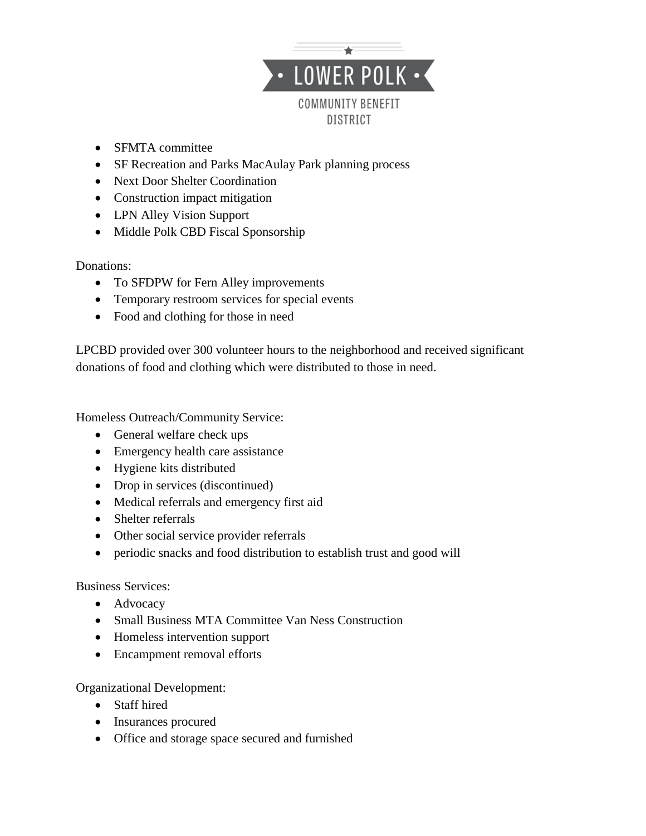

- SFMTA committee
- SF Recreation and Parks MacAulay Park planning process
- Next Door Shelter Coordination
- Construction impact mitigation
- LPN Alley Vision Support
- Middle Polk CBD Fiscal Sponsorship

Donations:

- To SFDPW for Fern Alley improvements
- Temporary restroom services for special events
- Food and clothing for those in need

LPCBD provided over 300 volunteer hours to the neighborhood and received significant donations of food and clothing which were distributed to those in need.

Homeless Outreach/Community Service:

- General welfare check ups
- Emergency health care assistance
- Hygiene kits distributed
- Drop in services (discontinued)
- Medical referrals and emergency first aid
- Shelter referrals
- Other social service provider referrals
- periodic snacks and food distribution to establish trust and good will

## Business Services:

- Advocacy
- Small Business MTA Committee Van Ness Construction
- Homeless intervention support
- Encampment removal efforts

Organizational Development:

- Staff hired
- Insurances procured
- Office and storage space secured and furnished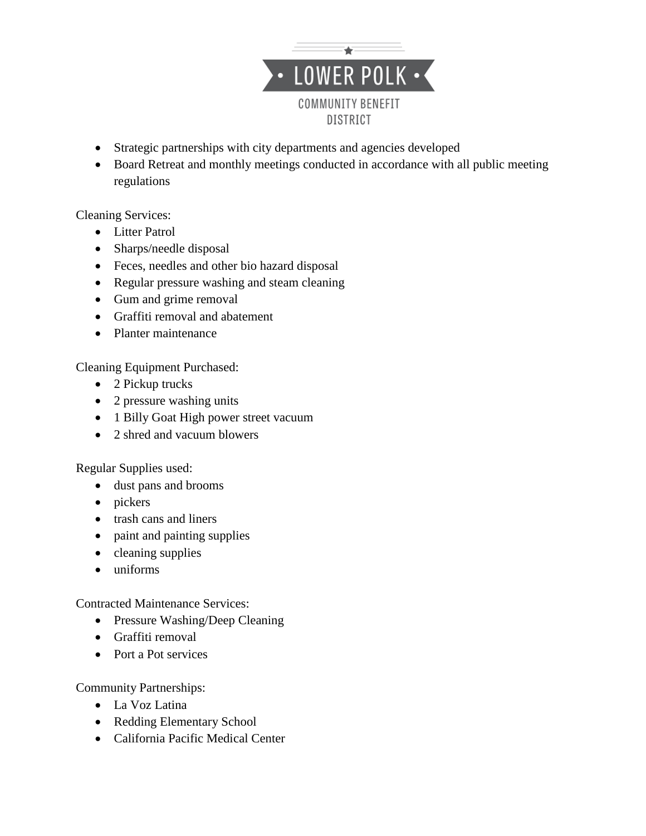

- Strategic partnerships with city departments and agencies developed
- Board Retreat and monthly meetings conducted in accordance with all public meeting regulations

Cleaning Services:

- Litter Patrol
- Sharps/needle disposal
- Feces, needles and other bio hazard disposal
- Regular pressure washing and steam cleaning
- Gum and grime removal
- Graffiti removal and abatement
- Planter maintenance

Cleaning Equipment Purchased:

- 2 Pickup trucks
- 2 pressure washing units
- 1 Billy Goat High power street vacuum
- 2 shred and vacuum blowers

Regular Supplies used:

- dust pans and brooms
- pickers
- trash cans and liners
- paint and painting supplies
- $\bullet$  cleaning supplies
- uniforms

Contracted Maintenance Services:

- Pressure Washing/Deep Cleaning
- Graffiti removal
- Port a Pot services

Community Partnerships:

- La Voz Latina
- Redding Elementary School
- California Pacific Medical Center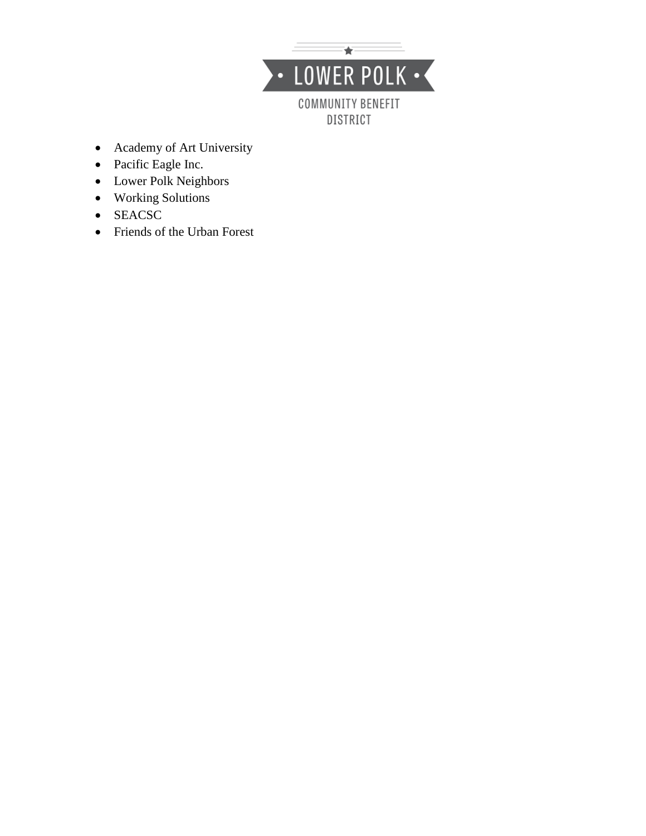

- Academy of Art University
- Pacific Eagle Inc.
- Lower Polk Neighbors
- Working Solutions
- SEACSC
- Friends of the Urban Forest